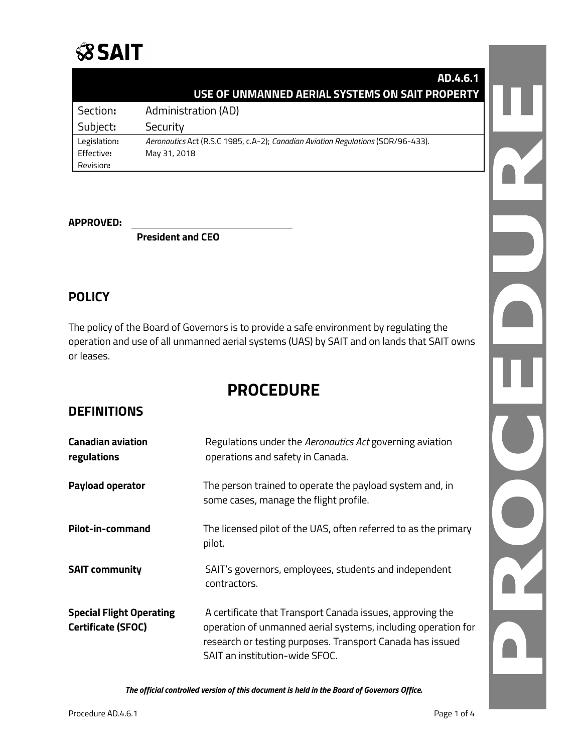# **SSAIT**

|              | AD.4.6.1                                                                         |  |
|--------------|----------------------------------------------------------------------------------|--|
|              | USE OF UNMANNED AERIAL SYSTEMS ON SAIT PROPERTY                                  |  |
| Section:     | Administration (AD)                                                              |  |
| Subject:     | Security                                                                         |  |
| Legislation: | Aeronautics Act (R.S.C 1985, c.A-2); Canadian Aviation Regulations (SOR/96-433). |  |
| Effective:   | May 31, 2018                                                                     |  |
| Revision:    |                                                                                  |  |

#### **APPROVED:**

**President and CEO**

# **POLICY**

The policy of the Board of Governors is to provide a safe environment by regulating the operation and use of all unmanned aerial systems (UAS) by SAIT and on lands that SAIT owns or leases.

# **PROCEDURE**

# **DEFINITIONS**

| <b>Canadian aviation</b><br>regulations               | Regulations under the Aeronautics Act governing aviation<br>operations and safety in Canada.                                                                                                                              |
|-------------------------------------------------------|---------------------------------------------------------------------------------------------------------------------------------------------------------------------------------------------------------------------------|
| <b>Payload operator</b>                               | The person trained to operate the payload system and, in<br>some cases, manage the flight profile.                                                                                                                        |
| Pilot-in-command                                      | The licensed pilot of the UAS, often referred to as the primary<br>pilot.                                                                                                                                                 |
| <b>SAIT community</b>                                 | SAIT's governors, employees, students and independent<br>contractors.                                                                                                                                                     |
| <b>Special Flight Operating</b><br>Certificate (SFOC) | A certificate that Transport Canada issues, approving the<br>operation of unmanned aerial systems, including operation for<br>research or testing purposes. Transport Canada has issued<br>SAIT an institution-wide SFOC. |

*The official controlled version of this document is held in the Board of Governors Office.*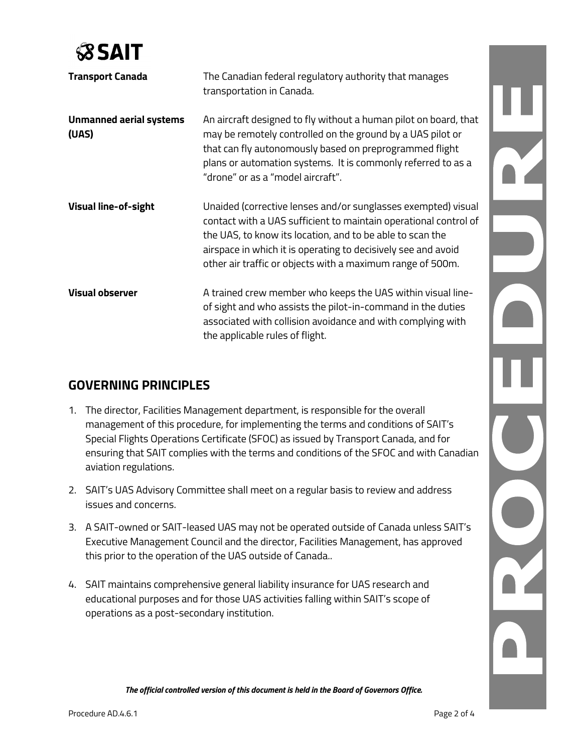

| <b>Transport Canada</b>                 | The Canadian federal regulatory authority that manages                                                                                                                                                                                                                                         |
|-----------------------------------------|------------------------------------------------------------------------------------------------------------------------------------------------------------------------------------------------------------------------------------------------------------------------------------------------|
|                                         | transportation in Canada.                                                                                                                                                                                                                                                                      |
| <b>Unmanned aerial systems</b><br>(UAS) | An aircraft designed to fly without a human pilot on board, that<br>may be remotely controlled on the ground by a UAS pilot or<br>that can fly autonomously based on preprogrammed flight<br>plans or automation systems. It is commonly referred to as a<br>"drone" or as a "model aircraft". |
| <b>Visual line-of-sight</b>             | Unaided (corrective lenses and/or sunglasses exempted) visual                                                                                                                                                                                                                                  |
|                                         | contact with a UAS sufficient to maintain operational control of                                                                                                                                                                                                                               |
|                                         | the UAS, to know its location, and to be able to scan the<br>airspace in which it is operating to decisively see and avoid                                                                                                                                                                     |
|                                         | other air traffic or objects with a maximum range of 500m.                                                                                                                                                                                                                                     |
| <b>Visual observer</b>                  | A trained crew member who keeps the UAS within visual line-<br>of sight and who assists the pilot-in-command in the duties<br>associated with collision avoidance and with complying with<br>the applicable rules of flight.                                                                   |

# **GOVERNING PRINCIPLES**

- 1. The director, Facilities Management department, is responsible for the overall management of this procedure, for implementing the terms and conditions of SAIT's Special Flights Operations Certificate (SFOC) as issued by Transport Canada, and for ensuring that SAIT complies with the terms and conditions of the SFOC and with Canadian aviation regulations.
- 2. SAIT's UAS Advisory Committee shall meet on a regular basis to review and address issues and concerns.
- 3. A SAIT-owned or SAIT-leased UAS may not be operated outside of Canada unless SAIT's Executive Management Council and the director, Facilities Management, has approved this prior to the operation of the UAS outside of Canada..
- 4. SAIT maintains comprehensive general liability insurance for UAS research and educational purposes and for those UAS activities falling within SAIT's scope of operations as a post-secondary institution.

NUSIN DR C

*The official controlled version of this document is held in the Board of Governors Office.*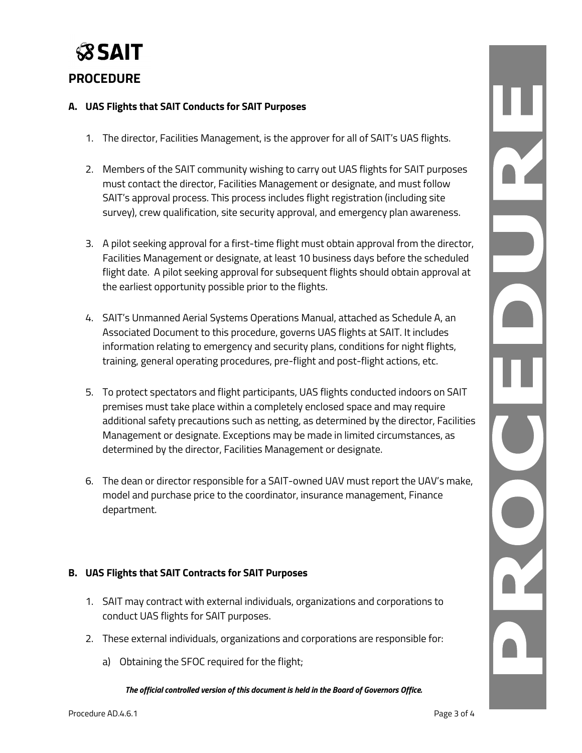

### **PROCEDURE**

#### **A. UAS Flights that SAIT Conducts for SAIT Purposes**

- 1. The director, Facilities Management, is the approver for all of SAIT's UAS flights.
- 2. Members of the SAIT community wishing to carry out UAS flights for SAIT purposes must contact the director, Facilities Management or designate, and must follow SAIT's approval process. This process includes flight registration (including site survey), crew qualification, site security approval, and emergency plan awareness.
- 3. A pilot seeking approval for a first-time flight must obtain approval from the director, Facilities Management or designate, at least 10 business days before the scheduled flight date. A pilot seeking approval for subsequent flights should obtain approval at the earliest opportunity possible prior to the flights.
- 4. SAIT's Unmanned Aerial Systems Operations Manual, attached as Schedule A, an Associated Document to this procedure, governs UAS flights at SAIT. It includes information relating to emergency and security plans, conditions for night flights, training, general operating procedures, pre-flight and post-flight actions, etc.
- 5. To protect spectators and flight participants, UAS flights conducted indoors on SAIT premises must take place within a completely enclosed space and may require additional safety precautions such as netting, as determined by the director, Facilities Management or designate. Exceptions may be made in limited circumstances, as determined by the director, Facilities Management or designate.
- 6. The dean or director responsible for a SAIT-owned UAV must report the UAV's make, model and purchase price to the coordinator, insurance management, Finance department.

#### **B. UAS Flights that SAIT Contracts for SAIT Purposes**

- 1. SAIT may contract with external individuals, organizations and corporations to conduct UAS flights for SAIT purposes.
- 2. These external individuals, organizations and corporations are responsible for:
	- a) Obtaining the SFOC required for the flight;

*The official controlled version of this document is held in the Board of Governors Office.*